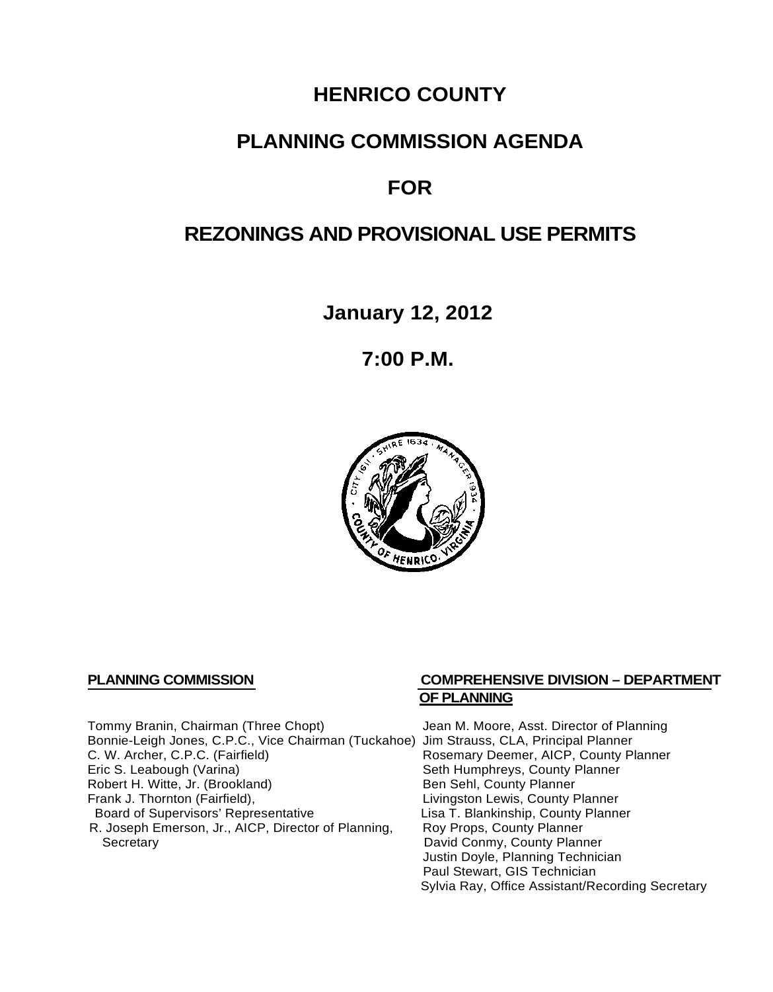# **HENRICO COUNTY**

# **PLANNING COMMISSION AGENDA**

# **FOR**

# **REZONINGS AND PROVISIONAL USE PERMITS**

**January 12, 2012**

**7:00 P.M.**



Tommy Branin, Chairman (Three Chopt) Jean M. Moore, Asst. Director of Planning Bonnie-Leigh Jones, C.P.C., Vice Chairman (Tuckahoe) Jim Strauss, CLA, Principal Planner C. W. Archer, C.P.C. (Fairfield) Rosemary Deemer, AICP, County Planner<br>
Eric S. Leabough (Varina) Seth Humphreys, County Planner Robert H. Witte, Jr. (Brookland)<br>Frank J. Thornton (Fairfield), Board of Supervisors' Representative Lisa T. Blankinship, County<br>R. Joseph Emerson, Jr., AICP, Director of Planning, Roy Props, County Planner R. Joseph Emerson, Jr., AICP, Director of Planning, Secretary

### **PLANNING COMMISSION COMPREHENSIVE DIVISION – DEPARTMENT OF PLANNING**

Seth Humphreys, County Planner<br>Ben Sehl, County Planner Livingston Lewis, County Planner<br>Lisa T. Blankinship, County Planner David Conmy, County Planner Justin Doyle, Planning Technician Paul Stewart, GIS Technician Sylvia Ray, Office Assistant/Recording Secretary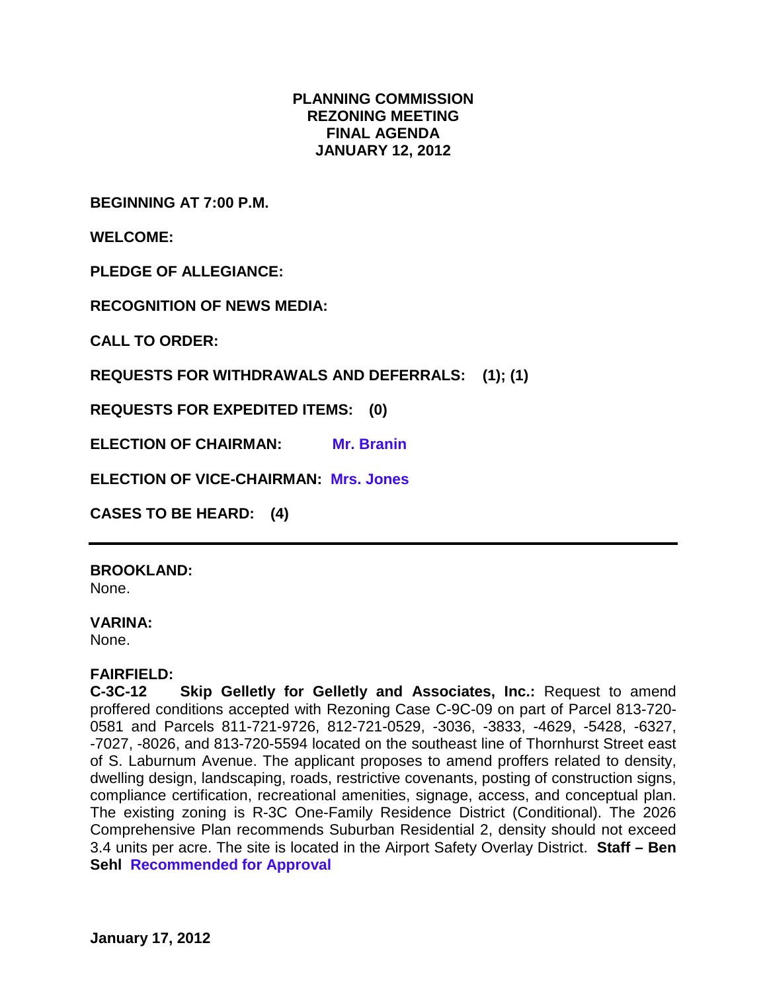## **PLANNING COMMISSION REZONING MEETING FINAL AGENDA JANUARY 12, 2012**

**BEGINNING AT 7:00 P.M.**

**WELCOME:**

**PLEDGE OF ALLEGIANCE:**

**RECOGNITION OF NEWS MEDIA:**

**CALL TO ORDER:**

**REQUESTS FOR WITHDRAWALS AND DEFERRALS: (1); (1)**

**REQUESTS FOR EXPEDITED ITEMS: (0)**

**ELECTION OF CHAIRMAN: Mr. Branin**

**ELECTION OF VICE-CHAIRMAN: Mrs. Jones**

**CASES TO BE HEARD: (4)**

**BROOKLAND:** None.

#### **VARINA:**

None.

#### **FAIRFIELD:**

**C-3C-12 Skip Gelletly for Gelletly and Associates, Inc.:** Request to amend proffered conditions accepted with Rezoning Case C-9C-09 on part of Parcel 813-720- 0581 and Parcels 811-721-9726, 812-721-0529, -3036, -3833, -4629, -5428, -6327, -7027, -8026, and 813-720-5594 located on the southeast line of Thornhurst Street east of S. Laburnum Avenue. The applicant proposes to amend proffers related to density, dwelling design, landscaping, roads, restrictive covenants, posting of construction signs, compliance certification, recreational amenities, signage, access, and conceptual plan. The existing zoning is R-3C One-Family Residence District (Conditional). The 2026 Comprehensive Plan recommends Suburban Residential 2, density should not exceed 3.4 units per acre. The site is located in the Airport Safety Overlay District. **Staff – Ben Sehl Recommended for Approval**

**January 17, 2012**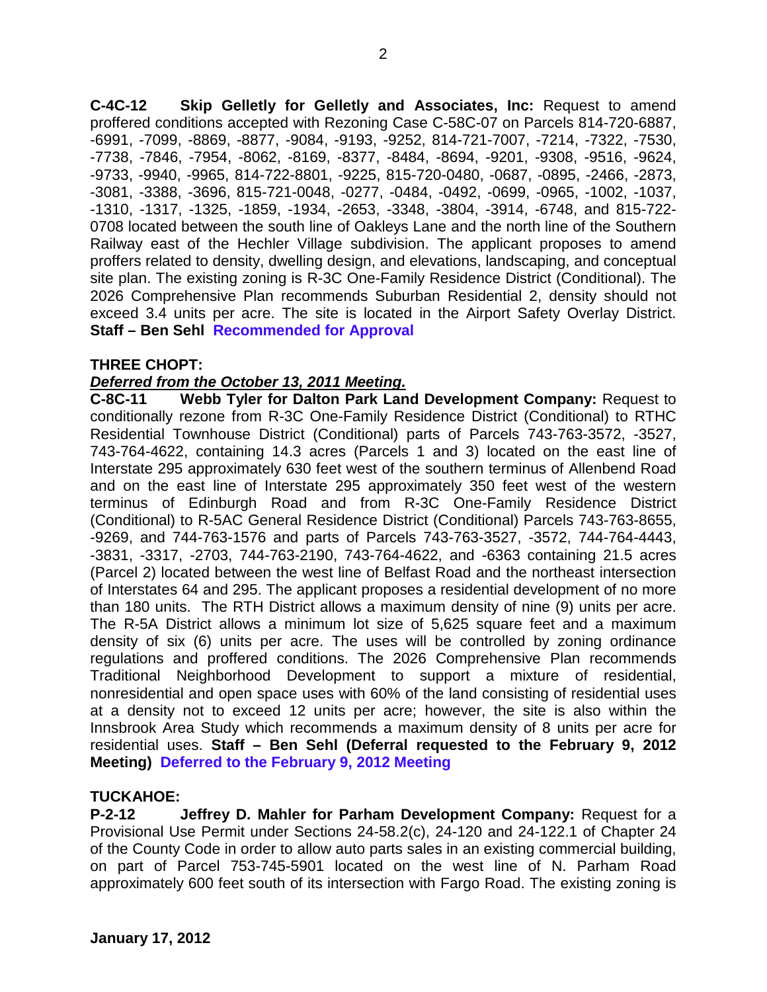**C-4C-12 Skip Gelletly for Gelletly and Associates, Inc:** Request to amend proffered conditions accepted with Rezoning Case C-58C-07 on Parcels 814-720-6887, -6991, -7099, -8869, -8877, -9084, -9193, -9252, 814-721-7007, -7214, -7322, -7530, -7738, -7846, -7954, -8062, -8169, -8377, -8484, -8694, -9201, -9308, -9516, -9624, -9733, -9940, -9965, 814-722-8801, -9225, 815-720-0480, -0687, -0895, -2466, -2873, -3081, -3388, -3696, 815-721-0048, -0277, -0484, -0492, -0699, -0965, -1002, -1037, -1310, -1317, -1325, -1859, -1934, -2653, -3348, -3804, -3914, -6748, and 815-722- 0708 located between the south line of Oakleys Lane and the north line of the Southern Railway east of the Hechler Village subdivision. The applicant proposes to amend proffers related to density, dwelling design, and elevations, landscaping, and conceptual site plan. The existing zoning is R-3C One-Family Residence District (Conditional). The 2026 Comprehensive Plan recommends Suburban Residential 2, density should not exceed 3.4 units per acre. The site is located in the Airport Safety Overlay District. **Staff – Ben Sehl Recommended for Approval**

## **THREE CHOPT:**

## *Deferred from the October 13, 2011 Meeting.*

**C-8C-11 Webb Tyler for Dalton Park Land Development Company:** Request to conditionally rezone from R-3C One-Family Residence District (Conditional) to RTHC Residential Townhouse District (Conditional) parts of Parcels 743-763-3572, -3527, 743-764-4622, containing 14.3 acres (Parcels 1 and 3) located on the east line of Interstate 295 approximately 630 feet west of the southern terminus of Allenbend Road and on the east line of Interstate 295 approximately 350 feet west of the western terminus of Edinburgh Road and from R-3C One-Family Residence District (Conditional) to R-5AC General Residence District (Conditional) Parcels 743-763-8655, -9269, and 744-763-1576 and parts of Parcels 743-763-3527, -3572, 744-764-4443, -3831, -3317, -2703, 744-763-2190, 743-764-4622, and -6363 containing 21.5 acres (Parcel 2) located between the west line of Belfast Road and the northeast intersection of Interstates 64 and 295. The applicant proposes a residential development of no more than 180 units. The RTH District allows a maximum density of nine (9) units per acre. The R-5A District allows a minimum lot size of 5,625 square feet and a maximum density of six (6) units per acre. The uses will be controlled by zoning ordinance regulations and proffered conditions. The 2026 Comprehensive Plan recommends Traditional Neighborhood Development to support a mixture of residential, nonresidential and open space uses with 60% of the land consisting of residential uses at a density not to exceed 12 units per acre; however, the site is also within the Innsbrook Area Study which recommends a maximum density of 8 units per acre for residential uses. **Staff – Ben Sehl (Deferral requested to the February 9, 2012 Meeting) Deferred to the February 9, 2012 Meeting**

## **TUCKAHOE:**

**P-2-12 Jeffrey D. Mahler for Parham Development Company:** Request for a Provisional Use Permit under Sections 24-58.2(c), 24-120 and 24-122.1 of Chapter 24 of the County Code in order to allow auto parts sales in an existing commercial building, on part of Parcel 753-745-5901 located on the west line of N. Parham Road approximately 600 feet south of its intersection with Fargo Road. The existing zoning is